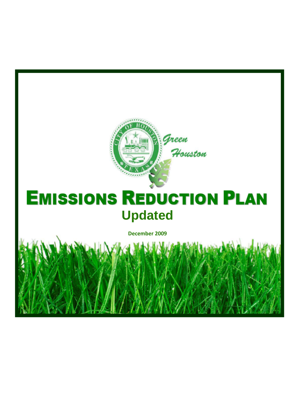

# **EMISSIONS REDUCTION PLAN Updated**

**December 2009**

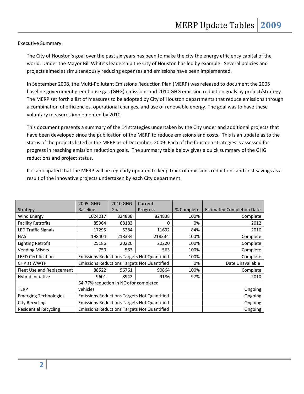Executive Summary:

The City of Houston's goal over the past six years has been to make the city the energy efficiency capital of the world. Under the Mayor Bill White's leadership the City of Houston has led by example. Several policies and projects aimed at simultaneously reducing expenses and emissions have been implemented.

In September 2008, the Multi‐Pollutant Emissions Reduction Plan (MERP) was released to document the 2005 baseline government greenhouse gas (GHG) emissions and 2010 GHG emission reduction goals by project/strategy. The MERP set forth a list of measures to be adopted by City of Houston departments that reduce emissions through a combination of efficiencies, operational changes, and use of renewable energy. The goal was to have these voluntary measures implemented by 2010.

This document presents a summary of the 14 strategies undertaken by the City under and additional projects that have been developed since the publication of the MERP to reduce emissions and costs. This is an update as to the status of the projects listed in the MERP as of December, 2009. Each of the fourteen strategies is assessed for progress in reaching emission reduction goals. The summary table below gives a quick summary of the GHG reductions and project status.

It is anticipated that the MERP will be regularly updated to keep track of emissions reductions and cost savings as a result of the innovative projects undertaken by each City department.

|                              | 2005 GHG                                           | 2010 GHG | Current                                            |                  |                                  |
|------------------------------|----------------------------------------------------|----------|----------------------------------------------------|------------------|----------------------------------|
| Strategy                     | <b>Baseline</b>                                    | Goal     | Progress                                           | % Complete       | <b>Estimated Completion Date</b> |
| Wind Energy                  | 1024017                                            | 824838   | 824838                                             | 100%             | Complete                         |
| <b>Facility Retrofits</b>    | 85964                                              | 68183    | 0                                                  | 0%               | 2012                             |
| <b>LED Traffic Signals</b>   | 17295                                              | 5284     | 11692                                              | 84%              | 2010                             |
| <b>HAS</b>                   | 198404                                             | 218334   | 218334                                             | 100%             | Complete                         |
| Lighting Retrofit            | 25186                                              | 20220    | 20220                                              | 100%             | Complete                         |
| <b>Vending Misers</b>        | 750                                                | 563      | 563                                                | 100%             | Complete                         |
| <b>LEED Certification</b>    | <b>Emissions Reductions Targets Not Quantified</b> |          |                                                    | 100%             | Complete                         |
| CHP at WWTP                  | <b>Emissions Reductions Targets Not Quantified</b> |          | 0%                                                 | Date Unavailable |                                  |
| Fleet Use and Replacement    | 88522                                              | 96761    | 90864                                              | 100%             | Complete                         |
| Hybrid Initiative            | 9601                                               | 8942     | 9186                                               | 97%              | 2010                             |
|                              | 64-77% reduction in NOx for completed              |          |                                                    |                  |                                  |
| <b>TERP</b>                  | vehicles                                           |          |                                                    |                  | Ongoing                          |
| <b>Emerging Technologies</b> | <b>Emissions Reductions Targets Not Quantified</b> |          |                                                    | Ongoing          |                                  |
| City Recycling               | <b>Emissions Reductions Targets Not Quantified</b> |          |                                                    | Ongoing          |                                  |
| <b>Residential Recycling</b> |                                                    |          | <b>Emissions Reductions Targets Not Quantified</b> |                  | Ongoing                          |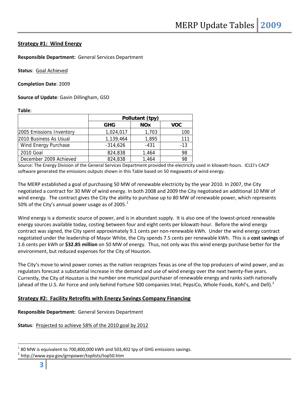# **Strategy #1: Wind Energy**

**Responsible Department:** General Services Department

**Status**: Goal Achieved

**Completion Date**: 2009

**Source of Update**: Gavin Dillingham, GSD

**Table**:

|                          | Pollutant (tpy) |            |            |  |
|--------------------------|-----------------|------------|------------|--|
|                          | <b>GHG</b>      | <b>NOx</b> | <b>VOC</b> |  |
| 2005 Emissions Inventory | 1,024,017       | 1,703      | 100        |  |
| 2010 Business As Usual   | 1,139,464       | 1,895      | 111        |  |
| Wind Energy Purchase     | $-314,626$      | $-431$     | $-1.3$     |  |
| 2010 Goal                | 824,838         | 1,464      | 98         |  |
| December 2009 Achieved   | 824,838         | 1,464      | 98         |  |

Source: The Energy Division of the General Services Department provided the electricity used in kilowatt-hours. ICLEI's CACP software generated the emissions outputs shown in this Table based on 50 megawatts of wind energy.

The MERP established a goal of purchasing 50 MW of renewable electricity by the year 2010. In 2007, the City negotiated a contract for 30 MW of wind energy. In both 2008 and 2009 the City negotiated an additional 10 MW of wind energy. The contract gives the City the ability to purchase up to 80 MW of renewable power, which represents 50% of the City's annual power usage as of 2005. $<sup>1</sup>$  $<sup>1</sup>$  $<sup>1</sup>$ </sup>

Wind energy is a domestic source of power, and is in abundant supply. It is also one of the lowest-priced renewable energy sources available today, costing between four and eight cents per kilowatt-hour. Before the wind energy contract was signed, the City spent approximately 9.1 cents per non-renewable kWh. Under the wind energy contract negotiated under the leadership of Mayor White, the City spends 7.5 cents per renewable kWh. This is a **cost savings** of 1.6 cents per kWh or **\$32.85 million** on 50 MW of energy. Thus, not only was this wind energy purchase better for the environment, but reduced expenses for the City of Houston.

The City's move to wind power comes as the nation recognizes Texas as one of the top producers of wind power, and as regulators forecast a substantial increase in the demand and use of wind energy over the next twenty‐five years. Currently, the City of Houston is the number one municipal purchaser of renewable energy and ranks sixth nationally (ahead of the U.S. Air Force and only behind Fortune 500 companies Intel, PepsiCo, Whole Foods, Kohl's, and Dell).<sup>[2](#page-2-1)</sup>

# **Strategy #2: Facility Retrofits with Energy Savings Company Financing**

**Responsible Department:** General Services Department

**Status**: Projected to achieve 58% of the 2010 goal by 2012

<span id="page-2-0"></span><sup>&</sup>lt;sup>1</sup> 80 MW is equivalent to 700,800,000 kWh and 503,402 tpy of GHG emissions savings.<br><sup>2</sup> http://www.epa.gov/grnpower/toplists/top50.htm

<span id="page-2-1"></span>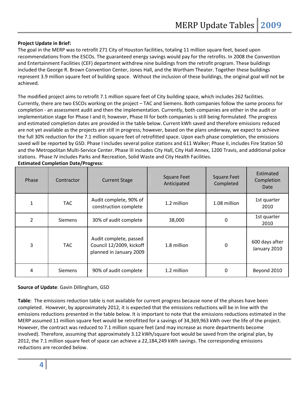# **Project Update in Brief:**

The goal in the MERP was to retrofit 271 City of Houston facilities, totaling 11 million square feet, based upon recommendations from the ESCOs. The guaranteed energy savings would pay for the retrofits. In 2008 the Convention and Entertainment Facilities (CEF) department withdrew nine buildings from the retrofit program. These buildings included the George R. Brown Convention Center, Jones Hall, and the Wortham Theater. Together these buildings represent 3.9 million square feet of building space. Without the inclusion of these buildings, the original goal will not be achieved.

The modified project aims to retrofit 7.1 million square feet of City building space, which includes 262 facilities. Currently, there are two ESCOs working on the project – TAC and Siemens. Both companies follow the same process for completion ‐ an assessment audit and then the implementation. Currently, both companies are either in the audit or implementation stage for Phase I and II; however, Phase III for both companies is still being formulated. The progress and estimated completion dates are provided in the table below. Current kWh saved and therefore emissions reduced are not yet available as the projects are still in progress; however, based on the plans underway, we expect to achieve the full 30% reduction for the 7.1 million square feet of retrofitted space. Upon each phase completion, the emissions saved will be reported by GSD. Phase I includes several police stations and 611 Walker; Phase II, includes Fire Station 50 and the Metropolitan Multi-Service Center. Phase III includes City Hall, City Hall Annex, 1200 Travis, and additional police stations. Phase IV includes Parks and Recreation, Solid Waste and City Health Facilities.

| Phase | Contractor     | <b>Current Stage</b>                                                          | <b>Square Feet</b><br>Anticipated | <b>Square Feet</b><br>Completed | Estimated<br>Completion<br>Date |
|-------|----------------|-------------------------------------------------------------------------------|-----------------------------------|---------------------------------|---------------------------------|
| 1     | <b>TAC</b>     | Audit complete, 90% of<br>construction complete                               | 1.2 million                       | 1.08 million                    | 1st quarter<br>2010             |
| 2     | <b>Siemens</b> | 30% of audit complete                                                         | 38,000                            | 0                               | 1st quarter<br>2010             |
| 3     | <b>TAC</b>     | Audit complete, passed<br>Council 12/2009, kickoff<br>planned in January 2009 | 1.8 million                       | 0                               | 600 days after<br>January 2010  |
| 4     | <b>Siemens</b> | 90% of audit complete                                                         | 1.2 million                       | 0                               | Beyond 2010                     |

**Estimated Completion Date/Progress**:

# **Source of Update**: Gavin Dillingham, GSD

**Table**: The emissions reduction table is not available for current progress because none of the phases have been completed. However, by approximately 2012, it is expected that the emissions reductions will be in line with the emissions reductions presented in the table below. It is important to note that the emissions reductions estimated in the MERP assumed 11 million square feet would be retrofitted for a savings of 34,369,963 kWh over the life of the project. However, the contract was reduced to 7.1 million square feet (and may increase as more departments become involved). Therefore, assuming that approximately 3.12 kWh/square foot would be saved from the original plan, by 2012, the 7.1 million square feet of space can achieve a 22,184,249 kWh savings. The corresponding emissions reductions are recorded below.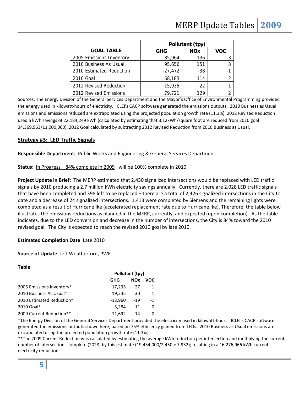|                          |            | Pollutant (tpy) |            |  |
|--------------------------|------------|-----------------|------------|--|
| <b>GOAL TABLE</b>        | <b>GHG</b> | <b>NOx</b>      | <b>VOC</b> |  |
| 2005 Emissions Inventory | 85,964     | 136             |            |  |
| 2010 Business As Usual   | 95,656     | 151             |            |  |
| 2010 Estimated Reduction | $-27,472$  | $-38$           |            |  |
| 2010 Goal                | 68,183     | 114             |            |  |
| 2012 Revised Reduction   | $-15,935$  | $-22$           |            |  |
| 2012 Revised Emissions   | 79.721     | 129             |            |  |

Sources: The Energy Division of the General Services Department and the Mayor's Office of Environmental Programming provided the energy used in kilowatt-hours of electricity. ICLEI's CACP software generated the emissions outputs. 2010 Business as Usual emissions and emissions reduced are extrapolated using the projected population growth rate (11.3%). 2012 Revised Reduction used a kWh savings of 22,184,249 kWh (calculated by estimating that 3.12kWh/square foot are reduced from 2010 goal = 34,369,963/11,000,000). 2012 Goal calculated by subtracting 2012 Revised Reduction from 2010 Business as Usual.

# **Strategy #3: LED Traffic Signals**

**Responsible Department:** Public Works and Engineering & General Services Department

**Status**: In Progress—84% complete in 2009 –will be 100% complete in 2010

**Project Update in Brief:** The MERP estimated that 2,450 signalized intersections would be replaced with LED traffic signals by 2010 producing a 2.7 million kWh electricity savings annually. Currently, there are 2,028 LED traffic signals that have been completed and 398 left to be replaced – there are a total of 2,426 signalized intersections in the City to date and a decrease of 24 signalized intersections. 1,413 were completed by Siemens and the remaining lights were completed as a result of Hurricane Ike (accelerated replacement rate due to Hurricane Ike). Therefore, the table below illustrates the emissions reductions as planned in the MERP, currently, and expected (upon completion). As the table indicates, due to the LED conversion and decrease in the number of intersections, the City is 84% toward the 2010 revised goal. The City is expected to reach the revised 2010 goal by late 2010.

# **Estimated Completion Date**: Late 2010

# **Source of Update**: Jeff Weatherford, PWE

|                           | Pollutant (tpy) |            |              |
|---------------------------|-----------------|------------|--------------|
|                           | GHG             | <b>NOx</b> | voc          |
| 2005 Emissions Inventory* | 17.295          | 27         |              |
| 2010 Business As Usual*   | 19.245          | 30         | $\mathbf{1}$ |
| 2010 Estimated Reduction* | $-13.960$       | $-19$      | $-1$         |
| 2010 Goal*                | 5.284           | 11         | 0            |
| 2009 Current Reduction**  | $-11,692$       | $-14$      |              |

\*The Energy Division of the General Services Department provided the electricity used in kilowatt‐hours. ICLEI's CACP software generated the emissions outputs shown here, based on 75% efficiency gained from LEDs. 2010 Business as Usual emissions are extrapolated using the projected population growth rate (11.3%).

\*\*The 2009 Current Reduction was calculated by estimating the average kWh reduction per intersection and multiplying the current number of intersections complete (2028) by this estimate (19,434,000/2,450 = 7,932); resulting in a 16,276,966 kWh current electricity reduction.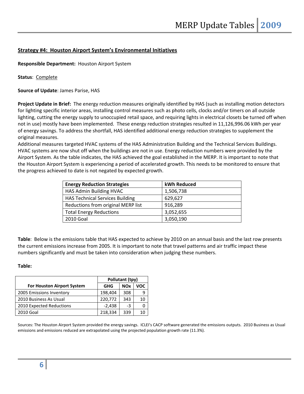# **Strategy #4: Houston Airport System's Environmental Initiatives**

**Responsible Department:** Houston Airport System

**Status**: Complete

**Source of Update**: James Parise, HAS

**Project Update in Brief:** The energy reduction measures originally identified by HAS (such as installing motion detectors for lighting specific interior areas, installing control measures such as photo cells, clocks and/or timers on all outside lighting, cutting the energy supply to unoccupied retail space, and requiring lights in electrical closets be turned off when not in use) mostly have been implemented. These energy reduction strategies resulted in 11,126,996.06 kWh per year of energy savings. To address the shortfall, HAS identified additional energy reduction strategies to supplement the original measures.

Additional measures targeted HVAC systems of the HAS Administration Building and the Technical Services Buildings. HVAC systems are now shut off when the buildings are not in use. Energy reduction numbers were provided by the Airport System. As the table indicates, the HAS achieved the goal established in the MERP. It is important to note that the Houston Airport System is experiencing a period of accelerated growth. This needs to be monitored to ensure that the progress achieved to date is not negated by expected growth.

| <b>Energy Reduction Strategies</b>     | kWh Reduced |
|----------------------------------------|-------------|
| HAS Admin Building HVAC                | 1,506,738   |
| <b>HAS Technical Services Building</b> | 629,627     |
| Reductions from original MERP list     | 916,289     |
| <b>Total Energy Reductions</b>         | 3,052,655   |
| 2010 Goal                              | 3,050,190   |

**Table**: Below is the emissions table that HAS expected to achieve by 2010 on an annual basis and the last row presents the current emissions increase from 2005. It is important to note that travel patterns and air traffic impact these numbers significantly and must be taken into consideration when judging these numbers.

# **Table:**

|                                   | Pollutant (tpy) |            |     |
|-----------------------------------|-----------------|------------|-----|
| <b>For Houston Airport System</b> | <b>GHG</b>      | <b>NOx</b> | voc |
| 2005 Emissions Inventory          | 198,404         | 308        | 9   |
| 2010 Business As Usual            | 220,772         | 343        | 10  |
| 2010 Expected Reductions          | $-2,438$        | $-3$       |     |
| 2010 Goal                         | 218,334         | 339        |     |

Sources: The Houston Airport System provided the energy savings. ICLEI's CACP software generated the emissions outputs. 2010 Business as Usual emissions and emissions reduced are extrapolated using the projected population growth rate (11.3%).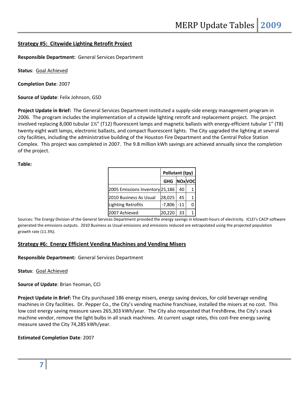# **Strategy #5: Citywide Lighting Retrofit Project**

**Responsible Department:** General Services Department

**Status**: Goal Achieved

**Completion Date**: 2007

**Source of Update**: Felix Johnson, GSD

**Project Update in Brief:** The General Services Department instituted a supply‐side energy management program in 2006. The program includes the implementation of a citywide lighting retrofit and replacement project. The project involved replacing 8,000 tubular 1½" (T12) fluorescent lamps and magnetic ballasts with energy‐efficient tubular 1" (T8) twenty-eight watt lamps, electronic ballasts, and compact fluorescent lights. The City upgraded the lighting at several city facilities, including the administrative building of the Houston Fire Department and the Central Police Station Complex. This project was completed in 2007. The 9.8 million kWh savings are achieved annually since the completion of the project.

**Table:**

|                                 | Pollutant (tpy) |               |  |
|---------------------------------|-----------------|---------------|--|
|                                 | <b>GHG</b>      | <b>NOxVOC</b> |  |
| 2005 Emissions Inventory 25,186 |                 | 40            |  |
| 2010 Business As Usual          | 28,025          | 45            |  |
| <b>Lighting Retrofits</b>       | $-7,806$        | $-11$         |  |
| 2007 Achieved                   | 20,220          | 33            |  |

Sources: The Energy Division of the General Services Department provided the energy savings in kilowatt-hours of electricity. ICLEI's CACP software generated the emissions outputs. 2010 Business as Usual emissions and emissions reduced are extrapolated using the projected population growth rate (11.3%).

# **Strategy #6: Energy Efficient Vending Machines and Vending Misers**

**Responsible Department:** General Services Department

**Status**: Goal Achieved

**Source of Update**: Brian Yeoman, CCI

**Project Update in Brief:** The City purchased 186 energy misers, energy saving devices, for cold beverage vending machines in City facilities. Dr. Pepper Co., the City's vending machine franchisee, installed the misers at no cost. This low cost energy saving measure saves 265,303 kWh/year. The City also requested that FreshBrew, the City's snack machine vendor, remove the light bulbs in all snack machines. At current usage rates, this cost-free energy saving measure saved the City 74,285 kWh/year.

# **Estimated Completion Date**: 2007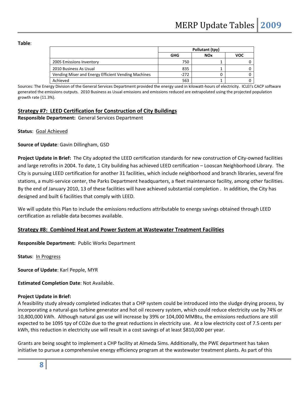#### **Table**:

|                                                     | Pollutant (tpy) |            |     |
|-----------------------------------------------------|-----------------|------------|-----|
|                                                     | GHG             | <b>NOx</b> | voc |
| 2005 Emissions Inventory                            | 750             |            |     |
| 2010 Business As Usual                              | 835             |            |     |
| Vending Miser and Energy Efficient Vending Machines | $-272$          |            |     |
| Achieved                                            | 563             |            |     |

Sources: The Energy Division of the General Services Department provided the energy used in kilowatt‐hours of electricity. ICLEI's CACP software generated the emissions outputs. 2010 Business as Usual emissions and emissions reduced are extrapolated using the projected population growth rate (11.3%).

#### **Strategy #7: LEED Certification for Construction of City Buildings**

**Responsible Department:** General Services Department

**Status**: Goal Achieved

**Source of Update**: Gavin Dillingham, GSD

**Project Update in Brief:** The City adopted the LEED certification standards for new construction of City‐owned facilities and large retrofits in 2004. To date, 1 City building has achieved LEED certification – Looscan Neighborhood Library. The City is pursuing LEED certification for another 31 facilities, which include neighborhood and branch libraries, several fire stations, a multi-service center, the Parks Department headquarters, a fleet maintenance facility, among other facilities. By the end of January 2010, 13 of these facilities will have achieved substantial completion . In addition, the City has designed and built 6 facilities that comply with LEED.

We will update this Plan to include the emissions reductions attributable to energy savings obtained through LEED certification as reliable data becomes available.

# **Strategy #8: Combined Heat and Power System at Wastewater Treatment Facilities**

**Responsible Department:** Public Works Department

**Status**: In Progress

**Source of Update**: Karl Pepple, MYR

**Estimated Completion Date**: Not Available.

#### **Project Update in Brief:**

A feasibility study already completed indicates that a CHP system could be introduced into the sludge drying process, by incorporating a natural‐gas turbine generator and hot oil recovery system, which could reduce electricity use by 74% or 10,800,000 kWh. Although natural gas use will increase by 39% or 104,000 MMBtu, the emissions reductions are still expected to be 1095 tpy of CO2e due to the great reductions in electricity use. At a low electricity cost of 7.5 cents per kWh, this reduction in electricity use will result in a cost savings of at least \$810,000 per year.

Grants are being sought to implement a CHP facility at Almeda Sims. Additionally, the PWE department has taken initiative to pursue a comprehensive energy efficiency program at the wastewater treatment plants. As part of this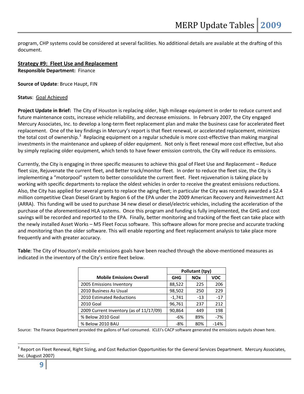program, CHP systems could be considered at several facilities. No additional details are available at the drafting of this document.

#### **Strategy #9: Fleet Use and Replacement Responsible Department:** Finance

**Source of Update**: Bruce Haupt, FIN

# **Status**: Goal Achieved

**Project Update in Brief:** The City of Houston is replacing older, high mileage equipment in order to reduce current and future maintenance costs, increase vehicle reliability, and decrease emissions. In February 2007, the City engaged Mercury Associates, Inc. to develop a long‐term fleet replacement plan and make the business case for accelerated fleet replacement. One of the key findings in Mercury's report is that fleet renewal, or accelerated replacement, minimizes the total cost of ownership.<sup>[3](#page-8-0)</sup> Replacing equipment on a regular schedule is more cost-effective than making marginal investments in the maintenance and upkeep of older equipment. Not only is fleet renewal more cost effective, but also by simply replacing older equipment, which tends to have fewer emission controls, the City will reduce its emissions.

Currently, the City is engaging in three specific measures to achieve this goal of Fleet Use and Replacement – Reduce fleet size, Rejuvenate the current fleet, and Better track/monitor fleet. In order to reduce the fleet size, the City is implementing a "motorpool" system to better consolidate the current fleet. Fleet rejuvenation is taking place by working with specific departments to replace the oldest vehicles in order to receive the greatest emissions reductions. Also, the City has applied for several grants to replace the aging fleet; in particular the City was recently awarded a \$2.4 million competitive Clean Diesel Grant by Region 6 of the EPA under the 2009 American Recovery and Reinvestment Act (ARRA). This funding will be used to purchase 34 new diesel or diesel/electric vehicles, including the acceleration of the purchase of the aforementioned HLA systems. Once this program and funding is fully implemented, the GHG and cost savings will be recorded and reported to the EPA. Finally, better monitoring and tracking of the fleet can take place with the newly installed Asset Works – M5 Fleet Focus software. This software allows for more precise and accurate tracking and monitoring than the older software. This will enable reporting and fleet replacement analysis to take place more frequently and with greater accuracy.

**Table**: The City of Houston's mobile emissions goals have been reached through the above-mentioned measures as indicated in the inventory of the City's entire fleet below.

|                                         | Pollutant (tpy) |            |            |
|-----------------------------------------|-----------------|------------|------------|
| <b>Mobile Emissions Overall</b>         | <b>GHG</b>      | <b>NOx</b> | <b>VOC</b> |
| 2005 Emissions Inventory                | 88,522          | 225        | 206        |
| 2010 Business As Usual                  | 98,502          | 250        | 229        |
| 2010 Estimated Reductions               | $-1,741$        | $-13$      | $-17$      |
| 2010 Goal                               | 96,761          | 237        | 212        |
| 2009 Current Inventory (as of 11/17/09) | 90,864          | 449        | 198        |
| % Below 2010 Goal                       | -6%             | 89%        | $-7%$      |
| % Below 2010 BAU                        | $-8%$           | 80%        | $-14%$     |

Source: The Finance Department provided the gallons of fuel consumed. ICLEI's CACP software generated the emissions outputs shown here.

<span id="page-8-0"></span><sup>&</sup>lt;sup>3</sup> Report on Fleet Renewal, Right Sizing, and Cost Reduction Opportunities for the General Services Department. Mercury Associates, Inc. (August 2007)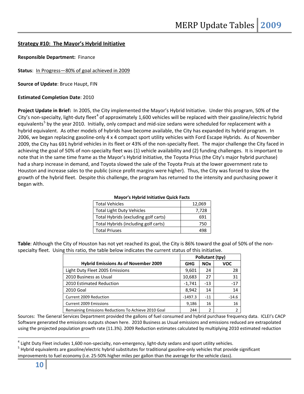# **Strategy #10: The Mayor's Hybrid Initiative**

**Responsible Department:** Finance

**Status**: In Progress—80% of goal achieved in 2009

**Source of Update**: Bruce Haupt, FIN

#### **Estimated Completion Date**: 2010

**Project Update in Brief:** In 2005, the City implemented the Mayor's Hybrid Initiative. Under this program, 50% of the City's non-specialty, light-duty fleet<sup>[4](#page-9-0)</sup> of approximately 1,600 vehicles will be replaced with their gasoline/electric hybrid equivalents<sup>[5](#page-9-1)</sup> by the year 2010. Initially, only compact and mid-size sedans were scheduled for replacement with a hybrid equivalent. As other models of hybrids have become available, the City has expanded its hybrid program. In 2006, we began replacing gasoline‐only 4 x 4 compact sport utility vehicles with Ford Escape Hybrids. As of November 2009, the City has 691 hybrid vehicles in its fleet or 43% of the non‐specialty fleet. The major challenge the City faced in achieving the goal of 50% of non‐specialty fleet was (1) vehicle availability and (2) funding challenges. It is important to note that in the same time frame as the Mayor's Hybrid Initiative, the Toyota Prius (the City's major hybrid purchase) had a sharp increase in demand, and Toyota slowed the sale of the Toyota Pruis at the lower government rate to Houston and increase sales to the public (since profit margins were higher). Thus, the City was forced to slow the growth of the hybrid fleet. Despite this challenge, the program has returned to the intensity and purchasing power it began with.

| <b>Mayor's Hybrid Initiative Quick Facts</b> |  |  |  |
|----------------------------------------------|--|--|--|
| 12,069                                       |  |  |  |
| 7,728                                        |  |  |  |
| 691                                          |  |  |  |
| 750                                          |  |  |  |
| 198                                          |  |  |  |
|                                              |  |  |  |

#### **Mayor's Hybrid Initiative Quick Facts**

**Table**: Although the City of Houston has not yet reached its goal, the City is 86% toward the goal of 50% of the non‐ specialty fleet. Using this ratio, the table below indicates the current status of this initiative.

|                                                     | Pollutant (tpy) |            |            |
|-----------------------------------------------------|-----------------|------------|------------|
| <b>Hybrid Emissions As of November 2009</b>         | <b>GHG</b>      | <b>NOx</b> | <b>VOC</b> |
| Light Duty Fleet 2005 Emissions                     | 9,601           | 24         | 28         |
| 2010 Business as Usual                              | 10,683          | 27         | 31         |
| 2010 Estimated Reduction                            | $-1,741$        | $-13$      | $-17$      |
| 2010 Goal                                           | 8,942           | 14         | 14         |
| Current 2009 Reduction                              | $-1497.3$       | $-11$      | $-14.6$    |
| <b>Current 2009 Emissions</b>                       | 9,186           | 16         | 16         |
| Remaining Emissions Reductions To Achieve 2010 Goal | 244             | 2          |            |

Sources: The General Services Department provided the gallons of fuel consumed and hybrid purchase frequency data. ICLEI's CACP Software generated the emissions outputs shown here. 2010 Business as Usual emissions and emissions reduced are extrapolated using the projected population growth rate (11.3%). 2009 Reduction estimates calculated by multiplying 2010 estimated reduction

<span id="page-9-0"></span> $^4$  Light Duty Fleet includes 1,600 non-specialty, non-emergency, light-duty sedans and sport utility vehicles.

<span id="page-9-1"></span><sup>&</sup>lt;sup>5</sup> Hybrid equivalents are gasoline/electric hybrid substitutes for traditional gasoline-only vehicles that provide significant improvements to fuel economy (i.e. 25‐50% higher miles per gallon than the average for the vehicle class).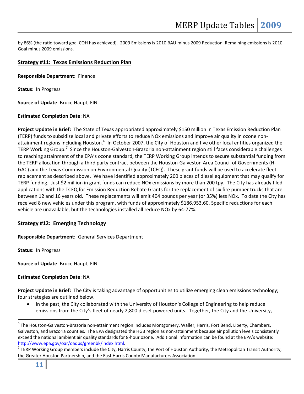by 86% (the ratio toward goal COH has achieved). 2009 Emissions is 2010 BAU minus 2009 Reduction. Remaining emissions is 2010 Goal minus 2009 emissions.

# **Strategy #11: Texas Emissions Reduction Plan**

**Responsible Department:** Finance

**Status**: In Progress

**Source of Update**: Bruce Haupt, FIN

# **Estimated Completion Date**: NA

**Project Update in Brief:** The State of Texas appropriated approximately \$150 million in Texas Emission Reduction Plan (TERP) funds to subsidize local and private efforts to reduce NOx emissions and improve air quality in ozone non‐ attainment regions including Houston.<sup>[6](#page-10-0)</sup> In October 2007, the City of Houston and five other local entities organized the TERP Working Group.<sup>[7](#page-10-1)</sup> Since the Houston-Galveston-Brazoria non-attainment region still faces considerable challenges to reaching attainment of the EPA's ozone standard, the TERP Working Group intends to secure substantial funding from the TERP allocation through a third party contract between the Houston‐Galveston Area Council of Governments (H‐ GAC) and the Texas Commission on Environmental Quality (TCEQ). These grant funds will be used to accelerate fleet replacement as described above. We have identified approximately 200 pieces of diesel equipment that may qualify for TERP funding. Just \$2 million in grant funds can reduce NOx emissions by more than 200 tpy. The City has already filed applications with the TCEQ for Emission Reduction Rebate Grants for the replacement of six fire pumper trucks that are between 12 and 16 years old. These replacements will emit 404 pounds per year (or 35%) less NOx. To date the City has received 8 new vehicles under this program, with funds of approximately \$186,953.60. Specific reductions for each vehicle are unavailable, but the technologies installed all reduce NOx by 64‐77%.

# **Strategy #12: Emerging Technology**

**Responsible Department:** General Services Department

**Status**: In Progress

**Source of Update**: Bruce Haupt, FIN

# **Estimated Completion Date**: NA

**Project Update in Brief:** The City is taking advantage of opportunities to utilize emerging clean emissions technology; four strategies are outlined below.

 In the past, the City collaborated with the University of Houston's College of Engineering to help reduce emissions from the City's fleet of nearly 2,800 diesel‐powered units. Together, the City and the University,

<span id="page-10-0"></span><sup>6</sup> The Houston‐Galveston‐Brazoria non‐attainment region includes Montgomery, Waller, Harris, Fort Bend, Liberty, Chambers, Galveston, and Brazoria counties. The EPA designated the HGB region as non‐attainment because air pollution levels consistently exceed the national ambient air quality standards for 8‐hour ozone. Additional information can be found at the EPA's website:

<span id="page-10-1"></span>http://www.epa.gov/oar/oaqps/greenbk/index.html.<br><sup>7</sup> TERP Working Group members include the City, Harris County, the Port of Houston Authority, the Metropolitan Transit Authority, the Greater Houston Partnership, and the East Harris County Manufacturers Association.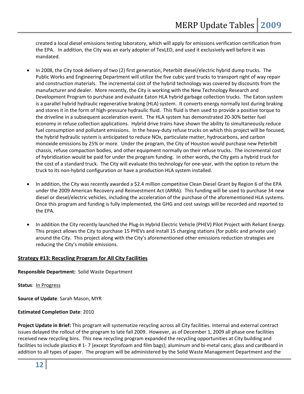created a local diesel emissions testing laboratory, which will apply for emissions verification certification from the EPA. In addition, the City was an early adopter of TexLED, and used it exclusively well before it was mandated.

- In 2008, the City took delivery of two (2) first generation, Peterbilt diesel/electric hybrid dump trucks. The Public Works and Engineering Department will utilize the five cubic yard trucks to transport right of way repair and construction materials. The incremental cost of the hybrid technology was covered by discounts from the manufacturer and dealer. More recently, the City is working with the New Technology Research and Development Program to purchase and evaluate Eaton HLA hybrid garbage collection trucks. The Eaton system is a parallel hybrid hydraulic regenerative braking (HLA) system. It converts energy normally lost during braking and stores it in the form of high-pressure hydraulic fluid. This fluid is then used to provide a positive torque to the driveline in a subsequent acceleration event. The HLA system has demonstrated 20‐30% better fuel economy in refuse collection applications. Hybrid drive trains have shown the ability to simultaneously reduce fuel consumption and pollutant emissions. In the heavy-duty refuse trucks on which this project will be focused, the hybrid hydraulic system is anticipated to reduce NOx, particulate matter, hydrocarbons, and carbon monoxide emissions by 25% or more. Under the program, the City of Houston would purchase new Peterbilt chassis, refuse compaction bodies, and other equipment normally on their refuse trucks. The incremental cost of hybridization would be paid for under the program funding. In other words, the City gets a hybrid truck for the cost of a standard truck. The City will evaluate this technology for one‐year, with the option to return the truck to its non‐hybrid configuration or have a production HLA system installed.
- In addition, the City was recently awarded a \$2.4 million competitive Clean Diesel Grant by Region 6 of the EPA under the 2009 American Recovery and Reinvestment Act (ARRA). This funding will be used to purchase 34 new diesel or diesel/electric vehicles, including the acceleration of the purchase of the aforementioned HLA systems. Once this program and funding is fully implemented, the GHG and cost savings will be recorded and reported to the EPA.
- In addition the City recently launched the Plug-In Hybrid Electric Vehicle (PHEV) Pilot Project with Reliant Energy. This project allows the City to purchase 15 PHEVs and install 15 charging stations (for public and private use) around the City. This project along with the City's aforementioned other emissions reduction strategies are reducing the City's mobile emissions.

# **Strategy #13: Recycling Program for All City Facilities**

**Responsible Department:** Solid Waste Department

#### **Status**: In Progress

**Source of Update**: Sarah Mason, MYR

**Estimated Completion Date**: 2010

**Project Update in Brief:** This program will systematize recycling across all City facilities. Internal and external contract issues delayed the rollout of the program to late fall 2009. However, as of December 1, 2009 all phase one facilities received new recycling bins. This new recycling program expanded the recycling opportunities at City building and facilities to include plastics # 1‐ 7 (except Styrofoam and film bags); aluminum and bi‐metal cans; glass and cardboard in addition to all types of paper. The program will be administered by the Solid Waste Management Department and the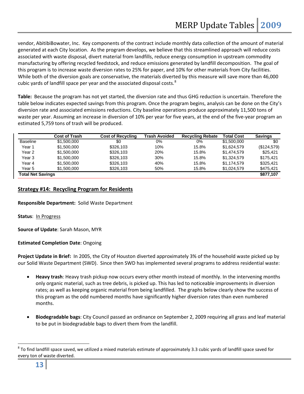vendor, AbitibiBowater, Inc. Key components of the contract include monthly data collection of the amount of material generated at each City location. As the program develops, we believe that this streamlined approach will reduce costs associated with waste disposal, divert material from landfills, reduce energy consumption in upstream commodity manufacturing by offering recycled feedstock, and reduce emissions generated by landfill decomposition. The goal of this program is to increase waste diversion rates to 25% for paper, and 10% for other materials from City facilities. While both of the diversion goals are conservative, the materials diverted by this measure will save more than 46,000 cubic yards of landfill space per year and the associated disposal costs.<sup>[8](#page-12-0)</sup>

**Table:** Because the program has not yet started, the diversion rate and thus GHG reduction is uncertain. Therefore the table below indicates expected savings from this program. Once the program begins, analysis can be done on the City's diversion rate and associated emissions reductions. City baseline operations produce approximately 11,500 tons of waste per year. Assuming an increase in diversion of 10% per year for five years, at the end of the five-year program an estimated 5,759 tons of trash will be produced.

|                          | <b>Cost of Trash</b> | <b>Cost of Recycling</b> | <b>Trash Avoided</b> | <b>Recycling Rebate</b> | <b>Total Cost</b> | <b>Savings</b> |
|--------------------------|----------------------|--------------------------|----------------------|-------------------------|-------------------|----------------|
| <b>Baseline</b>          | \$1,500,000          | \$0                      | 0%                   | 0%                      | \$1,500,000       | \$0            |
| Year 1                   | \$1,500,000          | \$326,103                | 10%                  | 15.8%                   | \$1.624.579       | (\$124,579)    |
| Year 2                   | \$1,500,000          | \$326,103                | 20%                  | 15.8%                   | \$1,474,579       | \$25.421       |
| Year 3                   | \$1,500,000          | \$326,103                | 30%                  | 15.8%                   | \$1.324.579       | \$175.421      |
| Year 4                   | \$1,500,000          | \$326,103                | 40%                  | 15.8%                   | \$1,174,579       | \$325.421      |
| Year 5                   | \$1,500,000          | \$326,103                | 50%                  | 15.8%                   | \$1.024.579       | \$475.421      |
| <b>Total Net Savings</b> |                      |                          |                      |                         |                   | \$877,107      |

# **Strategy #14: Recycling Program for Residents**

**Responsible Department:** Solid Waste Department

**Status**: In Progress

**Source of Update**: Sarah Mason, MYR

**Estimated Completion Date**: Ongoing

**Project Update in Brief:** In 2005, the City of Houston diverted approximately 3% of the household waste picked up by our Solid Waste Department (SWD). Since then SWD has implemented several programs to address residential waste:

- **Heavy trash**: Heavy trash pickup now occurs every other month instead of monthly. In the intervening months only organic material, such as tree debris, is picked up. This has led to noticeable improvements in diversion rates; as well as keeping organic material from being landfilled. The graphs below clearly show the success of this program as the odd numbered months have significantly higher diversion rates than even numbered months.
- **Biodegradable bags**: City Council passed an ordinance on September 2, 2009 requiring all grass and leaf material to be put in biodegradable bags to divert them from the landfill.

<span id="page-12-0"></span> $8$  To find landfill space saved, we utilized a mixed materials estimate of approximately 3.3 cubic yards of landfill space saved for every ton of waste diverted.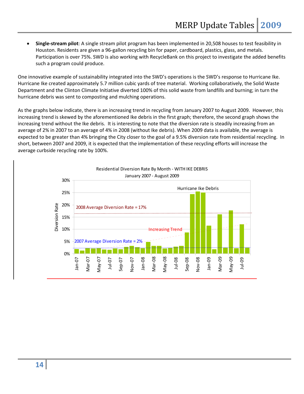**Single‐stream pilot**: A single stream pilot program has been implemented in 20,508 houses to test feasibility in Houston. Residents are given a 96‐gallon recycling bin for paper, cardboard, plastics, glass, and metals. Participation is over 75%. SWD is also working with RecycleBank on this project to investigate the added benefits such a program could produce.

One innovative example of sustainability integrated into the SWD's operations is the SWD's response to Hurricane Ike. Hurricane Ike created approximately 5.7 million cubic yards of tree material. Working collaboratively, the Solid Waste Department and the Clinton Climate Initiative diverted 100% of this solid waste from landfills and burning; in turn the hurricane debris was sent to composting and mulching operations.

As the graphs below indicate, there is an increasing trend in recycling from January 2007 to August 2009. However, this increasing trend is skewed by the aforementioned Ike debris in the first graph; therefore, the second graph shows the increasing trend without the Ike debris. It is interesting to note that the diversion rate is steadily increasing from an average of 2% in 2007 to an average of 4% in 2008 (without Ike debris). When 2009 data is available, the average is expected to be greater than 4% bringing the City closer to the goal of a 9.5% diversion rate from residential recycling. In short, between 2007 and 2009, it is expected that the implementation of these recycling efforts will increase the average curbside recycling rate by 100%.

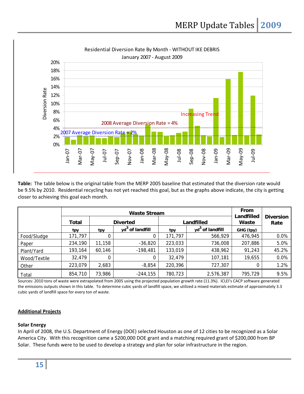

**Table:** The table below is the original table from the MERP 2005 baseline that estimated that the diversion rate would be 9.5% by 2010. Residential recycling has not yet reached this goal, but as the graphs above indicate, the city is getting closer to achieving this goal each month.

|              | <b>Waste Stream</b> |                 |                             |            |                             | From                |                          |
|--------------|---------------------|-----------------|-----------------------------|------------|-----------------------------|---------------------|--------------------------|
|              | Total               | <b>Diverted</b> |                             | Landfilled |                             | Landfilled<br>Waste | <b>Diversion</b><br>Rate |
|              | tpy                 | tpy             | yd <sup>3</sup> of landfill | tpy        | yd <sup>3</sup> of landfill | GHG (tpy)           |                          |
| Food/Sludge  | 171,797             | 0               |                             | 171,797    | 566,929                     | 476,945             | 0.0%                     |
| Paper        | 234,190             | 11,158          | $-36,820$                   | 223,033    | 736,008                     | 207,886             | 5.0%                     |
| Plant/Yard   | 193,164             | 60,146          | $-198,481$                  | 133,019    | 438,962                     | 91,243              | 45.2%                    |
| Wood/Textile | 32,479              | 0               |                             | 32,479     | 107,181                     | 19,655              | 0.0%                     |
| Other        | 223,079             | 2,683           | $-8,854$                    | 220,396    | 727,307                     | 0                   | 1.2%                     |
| Total        | 854,710             | 73,986          | $-244,155$                  | 780,723    | 2,576,387                   | 795,729             | 9.5%                     |

Sources: 2010 tons of waste were extrapolated from 2005 using the projected population growth rate (11.3%). ICLEI's CACP software generated the emissions outputs shown in this table. To determine cubic yards of landfill space, we utilized a mixed materials estimate of approximately 3.3 cubic yards of landfill space for every ton of waste.

# **Additional Projects**

# **Solar Energy**

In April of 2008, the U.S. Department of Energy (DOE) selected Houston as one of 12 cities to be recognized as a Solar America City. With this recognition came a \$200,000 DOE grant and a matching required grant of \$200,000 from BP Solar. These funds were to be used to develop a strategy and plan for solar infrastructure in the region.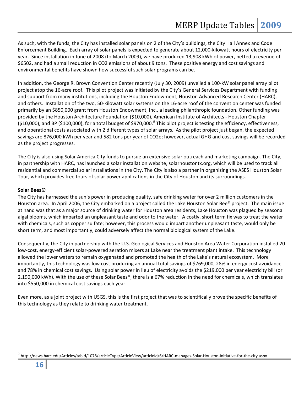As such, with the funds, the City has installed solar panels on 2 of the City's buildings, the City Hall Annex and Code Enforcement Building. Each array of solar panels is expected to generate about 12,000‐kilowatt hours of electricity per year. Since installation in June of 2008 (to March 2009), we have produced 13,908 kWh of power, netted a revenue of \$6502, and had a small reduction in CO2 emissions of about 9 tons. These positive energy and cost savings and environmental benefits have shown how successful such solar programs can be.

In addition, the George R. Brown Convention Center recently (July 30, 2009) unveiled a 100‐kW solar panel array pilot project atop the 16‐acre roof. This pilot project was initiated by the City's General Services Department with funding and support from many institutions, including the Houston Endowment, Houston Advanced Research Center (HARC), and others. Installation of the two, 50‐kilowatt solar systems on the 16‐acre roof of the convention center was funded primarily by an \$850,000 grant from Houston Endowment, Inc., a leading philanthropic foundation. Other funding was provided by the Houston Architecture Foundation (\$10,000), American Institute of Architects ‐ Houston Chapter (\$10,000), and BP (\$100,000), for a total budget of \$[9](#page-15-0)70,000.<sup>9</sup> This pilot project is testing the efficiency, effectiveness, and operational costs associated with 2 different types of solar arrays. As the pilot project just began, the expected savings are 876,000 kWh per year and 582 tons per year of CO2e; however, actual GHG and cost savings will be recorded as the project progresses.

The City is also using Solar America City funds to pursue an extensive solar outreach and marketing campaign. The City, in partnership with HARC, has launched a solar installation website, solarhoustontx.org, which will be used to track all residential and commercial solar installations in the City. The City is also a partner in organizing the ASES Houston Solar Tour, which provides free tours of solar power applications in the City of Houston and its surroundings.

# **Solar Bees©**

The City has harnessed the sun's power in producing quality, safe drinking water for over 2 million customers in the Houston area. In April 2006, the City embarked on a project called the Lake Houston Solar Bee® project. The main issue at hand was that as a major source of drinking water for Houston area residents, Lake Houston was plagued by seasonal algal blooms, which imparted an unpleasant taste and odor to the water. A costly, short term fix was to treat the water with chemicals, such as copper sulfate; however, this process would impart another unpleasant taste, would only be short term, and most importantly, could adversely affect the normal biological system of the Lake.

Consequently, the City in partnership with the U.S. Geological Services and Houston Area Water Corporation installed 20 low‐cost, energy‐efficient solar‐powered aeration mixers at Lake near the treatment plant intake. This technology allowed the lower waters to remain oxygenated and promoted the health of the Lake's natural ecosystem. More importantly, this technology was low cost producing an annual total savings of \$769,000, 28% in energy cost avoidance and 78% in chemical cost savings. Using solar power in lieu of electricity avoids the \$219,000 per year electricity bill (or 2,190,000 kWh). With the use of these Solar Bees®, there is a 67% reduction in the need for chemicals, which translates into \$550,000 in chemical cost savings each year.

Even more, as a joint project with USGS, this is the first project that was to scientifically prove the specific benefits of this technology as they relate to drinking water treatment.

<span id="page-15-0"></span> $^9$  http://news.harc.edu/Articles/tabid/1078/articleType/ArticleView/articleId/6/HARC‐manages‐Solar‐Houston‐Initiative‐for‐the‐city.aspx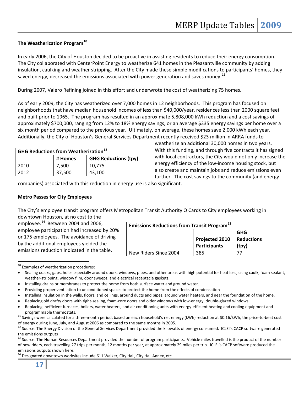# **The Weatherization Program[10](#page-16-0)**

In early 2006, the City of Houston decided to be proactive in assisting residents to reduce their energy consumption. The City collaborated with CenterPoint Energy to weatherize 641 homes in the Pleasantville community by adding insulation, caulking and weather stripping. After the City made these simple modifications to participants' homes, they saved energy, decreased the emissions associated with power generation and saves money.<sup>[11](#page-16-1)</sup>

During 2007, Valero Refining joined in this effort and underwrote the cost of weatherizing 75 homes.

As of early 2009, the City has weatherized over 7,000 homes in 12 neighborhoods. This program has focused on neighborhoods that have median household incomes of less than \$40,000/year, residences less than 2000 square feet and built prior to 1965. The program has resulted in an approximate 5,808,000 kWh reduction and a cost savings of approximately \$700,000, ranging from 12% to 18% energy savings, or an average \$335 energy savings per home over a six month period compared to the previous year. Ultimately, on average, these homes save 2,000 kWh each year. Additionally, the City of Houston's General Services Department recently received \$23 million in ARRA funds to

| <b>GHG Reductions from Weatherization</b> <sup>12</sup> |                                        |        |  |
|---------------------------------------------------------|----------------------------------------|--------|--|
|                                                         | <b>GHG Reductions (tpy)</b><br># Homes |        |  |
| 2010                                                    | 7,500                                  | 10.775 |  |
| 2012                                                    | 37,500                                 | 43,100 |  |

weatherize an additional 30,000 homes in two years. With this funding, and through five contracts it has signed with local contractors, the City would not only increase the energy efficiency of the low-income housing stock, but also create and maintain jobs and reduce emissions even further. The cost savings to the community (and energy

companies) associated with this reduction in energy use is also significant.

# **Metro Passes for City Employees**

The City's employee transit program offers Metropolitan Transit Authority Q Cards to City employees working in downtown Houston, at no cost to the

employee.<sup>[14](#page-16-2)</sup> Between 2004 and 2006, employee participation had increased by 20% or 175 employees. The avoidance of driving by the additional employees yielded the emissions reduction indicated in the table.

| <b>Emissions Reductions from Transit Program</b> <sup>13</sup> |                                |                                          |  |  |  |
|----------------------------------------------------------------|--------------------------------|------------------------------------------|--|--|--|
|                                                                | Projected 2010<br>Participants | <b>GHG</b><br><b>Reductions</b><br>(tpv) |  |  |  |
| New Riders Since 2004                                          | 385                            |                                          |  |  |  |

<span id="page-16-0"></span> <sup>10</sup> Examples of weatherization procedures:

<span id="page-16-3"></span><sup>12</sup> Source: The Energy Division of the General Services Department provided the kilowatts of energy consumed. ICLEI's CACP software generated

<span id="page-16-4"></span>the emissions outputs<br><sup>13</sup> Source: The Human Resources Department provided the number of program participants. Vehicle miles travelled is the product of the number of new riders, each travelling 27 trips per month, 12 months per year, at approximately 29 miles per trip. ICLEI's CACP software produced the emissions outputs shown here.<br><sup>14</sup> Designated downtown worksites include 611 Walker, City Hall, City Hall Annex, etc.

<span id="page-16-2"></span>

Sealing cracks, gaps, holes especially around doors, windows, pipes, and other areas with high potential for heat loss, using caulk, foam sealant, weather-stripping, window film, door sweeps, and electrical receptacle gaskets.

Installing drains or membranes to protect the home from both surface water and ground water.

Providing proper ventilation to unconditioned spaces to protect the home from the effects of condensation

Installing insulation in the walls, floors, and ceilings, around ducts and pipes, around water heaters, and near the foundation of the home.

Replacing old drafty doors with tight‐sealing, foam‐core doors and older windows with low‐energy, double‐glazed windows.

Replacing inefficient furnaces, boilers, water heaters, and air conditioning units with energy-efficient heating and cooling equipment and

<span id="page-16-1"></span>programmable thermostats.<br><sup>11</sup> Savings were calculated for a three-month period, based on each household's net energy (kWh) reduction at \$0.16/kWh, the price-to-beat cost of energy during June, July, and August 2006 as com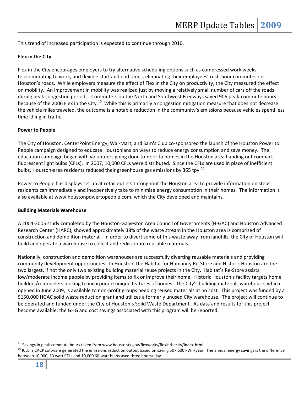This trend of increased participation is expected to continue through 2010.

# **Flex in the City**

Flex in the City encourages employers to try alternative scheduling options such as compressed work weeks, telecommuting to work, and flexible start and end times, eliminating their employees' rush‐hour commutes on Houston's roads. While employers measure the effect of Flex in the City on productivity, the City measured the effect on mobility. An improvement in mobility was realized just by moving a relatively small number of cars off the roads during peak congestion periods. Commuters on the North and Southwest Freeways saved 906 peak‐commute hours because of the 2006 Flex in the City.<sup>[15](#page-17-0)</sup> While this is primarily a congestion mitigation measure that does not decrease the vehicle miles traveled, the outcome is a notable reduction in the community's emissions because vehicles spend less time idling in traffic.

# **Power to People**

The City of Houston, CenterPoint Energy, Wal‐Mart, and Sam's Club co‐sponsored the launch of the Houston Power to People campaign designed to educate Houstonians on ways to reduce energy consumption and save money. The education campaign began with volunteers going door‐to‐door to homes in the Houston area handing out compact fluorescent light bulbs (CFLs). In 2007, 10,000 CFLs were distributed. Since the CFLs are used in place of inefficient bulbs, Houston-area residents reduced their greenhouse gas emissions by 365 tpy.<sup>[16](#page-17-1)</sup>

Power to People has displays set up at retail outlets throughout the Houston area to provide information on steps residents can immediately and inexpensively take to minimize energy consumption in their homes. The information is also available at www.houstonpowertopeople.com, which the City developed and maintains.

#### **Building Materials Warehouse**

A 2004‐2005 study completed by the Houston‐Galveston Area Council of Governments (H‐GAC) and Houston Advanced Research Center (HARC), showed approximately 38% of the waste stream in the Houston area is comprised of construction and demolition material. In order to divert some of this waste away from landfills, the City of Houston will build and operate a warehouse to collect and redistribute reusable materials.

Nationally, construction and demolition warehouses are successfully diverting reusable materials and providing community development opportunities. In Houston, the Habitat for Humanity Re‐Store and Historic Houston are the two largest, if not the only two existing building material reuse projects in the City. Habitat's Re‐Store assists low/moderate income people by providing items to fix or improve their home. Historic Houston's facility targets home builders/remodelers looking to incorporate unique features of homes. The City's building materials warehouse, which opened in June 2009, is available to non‐profit groups needing reused materials at no cost. This project was funded by a \$150,000 HGAC solid waste reduction grant and utilizes a formerly unused City warehouse. The project will continue to be operated and funded under the City of Houston's Solid Waste Department. As data and results for this project become available, the GHG and cost savings associated with this program will be reported.

<span id="page-17-1"></span>

<span id="page-17-0"></span><sup>&</sup>lt;sup>15</sup> Savings in peak-commute hours taken from www.houstontx.gov/flexworks/flexinthecity/index.html.<br><sup>16</sup> ICLEI's CACP software generated the emissions reduction output based on saving 507,600 kWh/year. The annual energy sa between 10,000, 13 watt CFLs and 10,000 60‐watt bulbs used three hours/ day.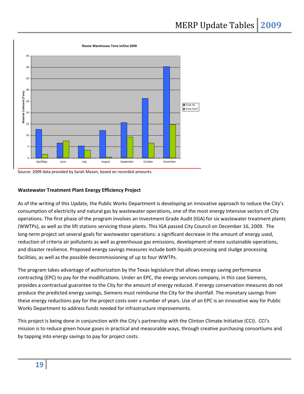

Source: 2009 data provided by Sarah Mason, based on recorded amounts.

# **Wastewater Treatment Plant Energy Efficiency Project**

As of the writing of this Update, the Public Works Department is developing an innovative approach to reduce the City's consumption of electricity and natural gas by wastewater operations, one of the most energy intensive sectors of City operations. The first phase of the program involves an Investment Grade Audit (IGA) for six wastewater treatment plants (WWTPs), as well as the lift stations servicing those plants. This IGA passed City Council on December 16, 2009. The long-term project set several goals for wastewater operations: a significant decrease in the amount of energy used, reduction of criteria air pollutants as well as greenhouse gas emissions, development of more sustainable operations, and disaster resilience. Proposed energy savings measures include both liquids processing and sludge processing facilities, as well as the possible decommissioning of up to four WWTPs.

The program takes advantage of authorization by the Texas legislature that allows energy saving performance contracting (EPC) to pay for the modifications. Under an EPC, the energy services company, in this case Siemens, provides a contractual guarantee to the City for the amount of energy reduced. If energy conservation measures do not produce the predicted energy savings, Siemens must reimburse the City for the shortfall. The monetary savings from these energy reductions pay for the project costs over a number of years. Use of an EPC is an innovative way for Public Works Department to address funds needed for infrastructure improvements.

This project is being done in conjunction with the City's partnership with the Clinton Climate Initiative (CCI). CCI's mission is to reduce green house gases in practical and measurable ways, through creative purchasing consortiums and by tapping into energy savings to pay for project costs.